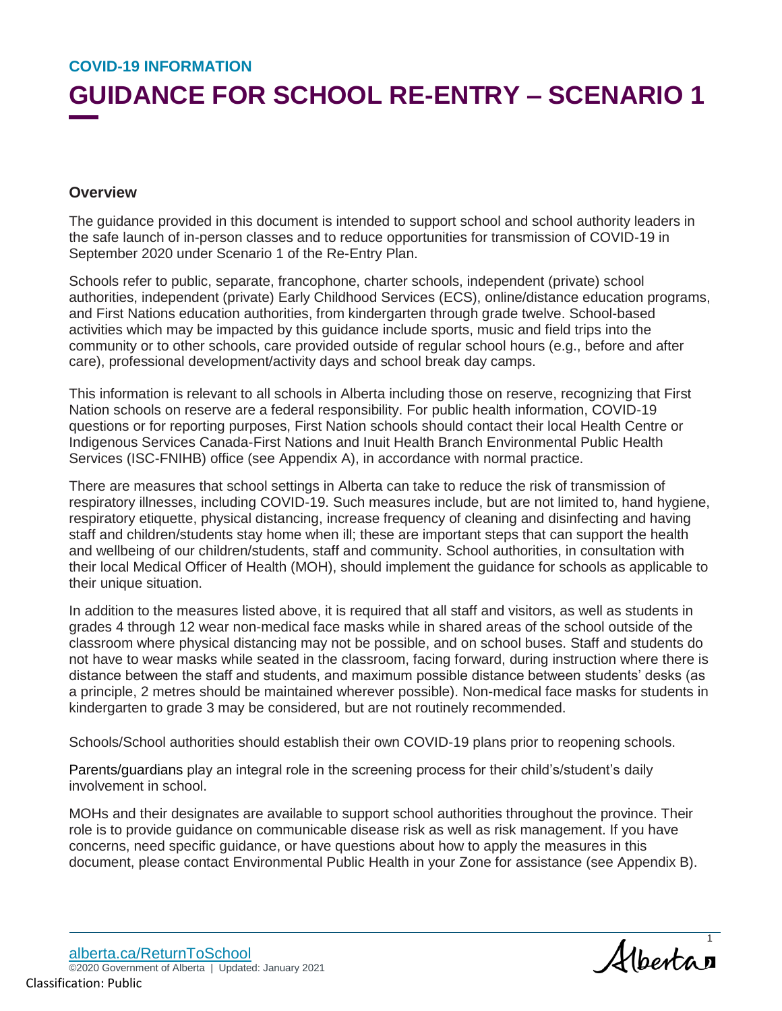# **GUIDANCE FOR SCHOOL RE-ENTRY – SCENARIO 1**

### **Overview**

The guidance provided in this document is intended to support school and school authority leaders in the safe launch of in-person classes and to reduce opportunities for transmission of COVID-19 in September 2020 under Scenario 1 of the Re-Entry Plan.

Schools refer to public, separate, francophone, charter schools, independent (private) school authorities, independent (private) Early Childhood Services (ECS), online/distance education programs, and First Nations education authorities, from kindergarten through grade twelve. School-based activities which may be impacted by this guidance include sports, music and field trips into the community or to other schools, care provided outside of regular school hours (e.g., before and after care), professional development/activity days and school break day camps.

This information is relevant to all schools in Alberta including those on reserve, recognizing that First Nation schools on reserve are a federal responsibility. For public health information, COVID-19 questions or for reporting purposes, First Nation schools should contact their local Health Centre or Indigenous Services Canada-First Nations and Inuit Health Branch Environmental Public Health Services (ISC-FNIHB) office (see Appendix A), in accordance with normal practice.

There are measures that school settings in Alberta can take to reduce the risk of transmission of respiratory illnesses, including COVID-19. Such measures include, but are not limited to, hand hygiene, respiratory etiquette, physical distancing, increase frequency of cleaning and disinfecting and having staff and children/students stay home when ill; these are important steps that can support the health and wellbeing of our children/students, staff and community. School authorities, in consultation with their local Medical Officer of Health (MOH), should implement the guidance for schools as applicable to their unique situation.

In addition to the measures listed above, it is required that all staff and visitors, as well as students in grades 4 through 12 wear non-medical face masks while in shared areas of the school outside of the classroom where physical distancing may not be possible, and on school buses. Staff and students do not have to wear masks while seated in the classroom, facing forward, during instruction where there is distance between the staff and students, and maximum possible distance between students' desks (as a principle, 2 metres should be maintained wherever possible). Non-medical face masks for students in kindergarten to grade 3 may be considered, but are not routinely recommended.

Schools/School authorities should establish their own COVID-19 plans prior to reopening schools.

Parents/guardians play an integral role in the screening process for their child's/student's daily involvement in school.

MOHs and their designates are available to support school authorities throughout the province. Their role is to provide guidance on communicable disease risk as well as risk management. If you have concerns, need specific guidance, or have questions about how to apply the measures in this document, please contact Environmental Public Health in your Zone for assistance (see Appendix B).

Albertan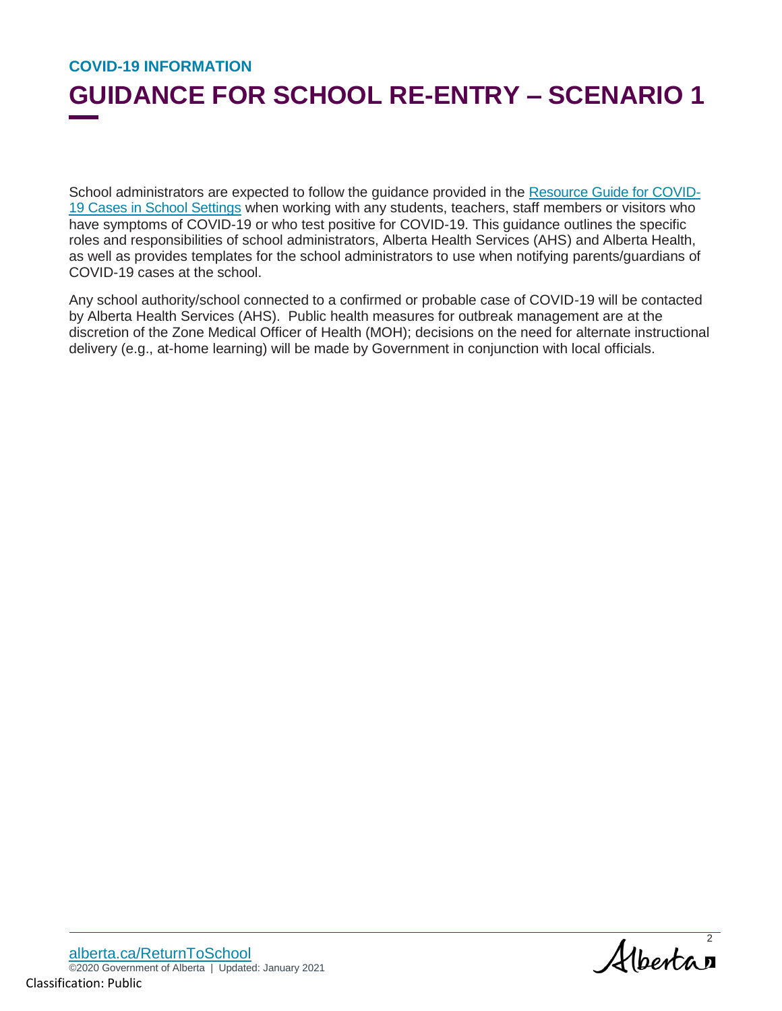## **GUIDANCE FOR SCHOOL RE-ENTRY – SCENARIO 1**

School administrators are expected to follow the guidance provided in the Resource Guide for COVID-19 Cases in School Settings when working with any students, teachers, staff members or visitors who have symptoms of COVID-19 or who test positive for COVID-19. This guidance outlines the specific roles and responsibilities of school administrators, Alberta Health Services (AHS) and Alberta Health, as well as provides templates for the school administrators to use when notifying parents/guardians of COVID-19 cases at the school.

Any school authority/school connected to a confirmed or probable case of COVID-19 will be contacted by Alberta Health Services (AHS). Public health measures for outbreak management are at the discretion of the Zone Medical Officer of Health (MOH); decisions on the need for alternate instructional delivery (e.g., at-home learning) will be made by Government in conjunction with local officials.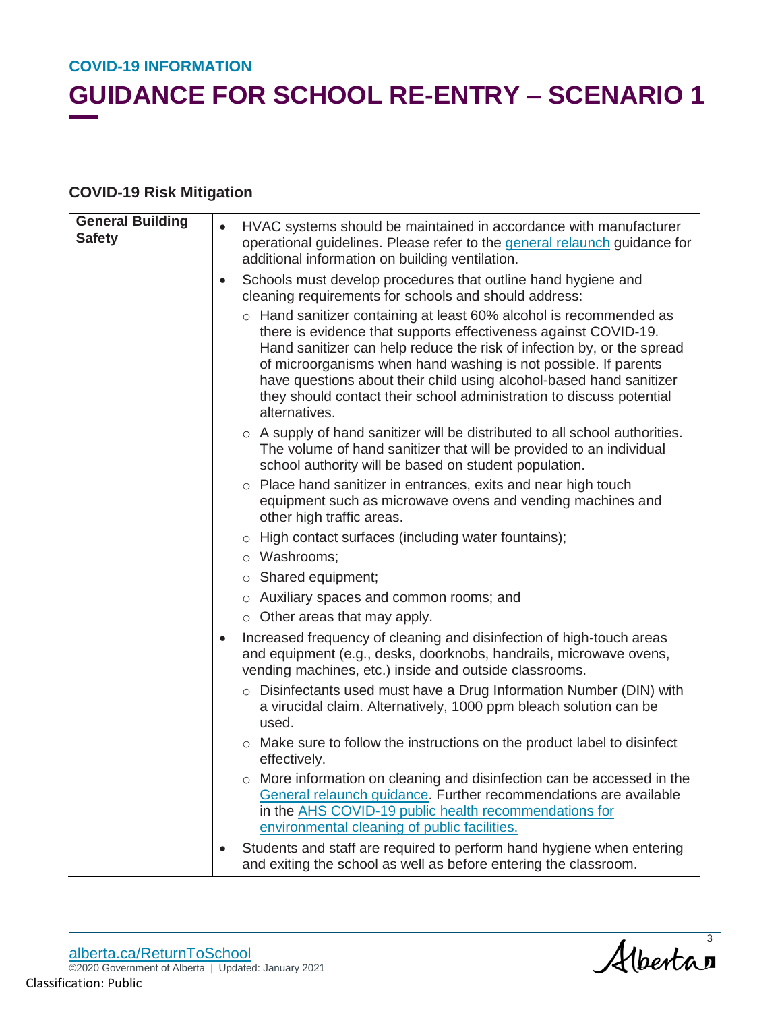## **GUIDANCE FOR SCHOOL RE-ENTRY – SCENARIO 1**

### **COVID-19 Risk Mitigation**

| <b>General Building</b><br><b>Safety</b> | $\bullet$ | HVAC systems should be maintained in accordance with manufacturer<br>operational guidelines. Please refer to the general relaunch guidance for                                                                                                                                                                                                                                                                                                     |
|------------------------------------------|-----------|----------------------------------------------------------------------------------------------------------------------------------------------------------------------------------------------------------------------------------------------------------------------------------------------------------------------------------------------------------------------------------------------------------------------------------------------------|
|                                          |           | additional information on building ventilation.                                                                                                                                                                                                                                                                                                                                                                                                    |
|                                          | $\bullet$ | Schools must develop procedures that outline hand hygiene and<br>cleaning requirements for schools and should address:                                                                                                                                                                                                                                                                                                                             |
|                                          |           | ○ Hand sanitizer containing at least 60% alcohol is recommended as<br>there is evidence that supports effectiveness against COVID-19.<br>Hand sanitizer can help reduce the risk of infection by, or the spread<br>of microorganisms when hand washing is not possible. If parents<br>have questions about their child using alcohol-based hand sanitizer<br>they should contact their school administration to discuss potential<br>alternatives. |
|                                          |           | o A supply of hand sanitizer will be distributed to all school authorities.<br>The volume of hand sanitizer that will be provided to an individual<br>school authority will be based on student population.                                                                                                                                                                                                                                        |
|                                          |           | o Place hand sanitizer in entrances, exits and near high touch<br>equipment such as microwave ovens and vending machines and<br>other high traffic areas.                                                                                                                                                                                                                                                                                          |
|                                          |           | o High contact surfaces (including water fountains);                                                                                                                                                                                                                                                                                                                                                                                               |
|                                          |           | o Washrooms;                                                                                                                                                                                                                                                                                                                                                                                                                                       |
|                                          |           | $\circ$ Shared equipment;                                                                                                                                                                                                                                                                                                                                                                                                                          |
|                                          |           | o Auxiliary spaces and common rooms; and                                                                                                                                                                                                                                                                                                                                                                                                           |
|                                          |           | o Other areas that may apply.                                                                                                                                                                                                                                                                                                                                                                                                                      |
|                                          | $\bullet$ | Increased frequency of cleaning and disinfection of high-touch areas<br>and equipment (e.g., desks, doorknobs, handrails, microwave ovens,<br>vending machines, etc.) inside and outside classrooms.                                                                                                                                                                                                                                               |
|                                          |           | o Disinfectants used must have a Drug Information Number (DIN) with<br>a virucidal claim. Alternatively, 1000 ppm bleach solution can be<br>used.                                                                                                                                                                                                                                                                                                  |
|                                          |           | o Make sure to follow the instructions on the product label to disinfect<br>effectively.                                                                                                                                                                                                                                                                                                                                                           |
|                                          |           | o More information on cleaning and disinfection can be accessed in the<br>General relaunch guidance. Further recommendations are available<br>in the AHS COVID-19 public health recommendations for<br>environmental cleaning of public facilities.                                                                                                                                                                                                |
|                                          |           | Students and staff are required to perform hand hygiene when entering<br>and exiting the school as well as before entering the classroom.                                                                                                                                                                                                                                                                                                          |
|                                          |           |                                                                                                                                                                                                                                                                                                                                                                                                                                                    |

Albertas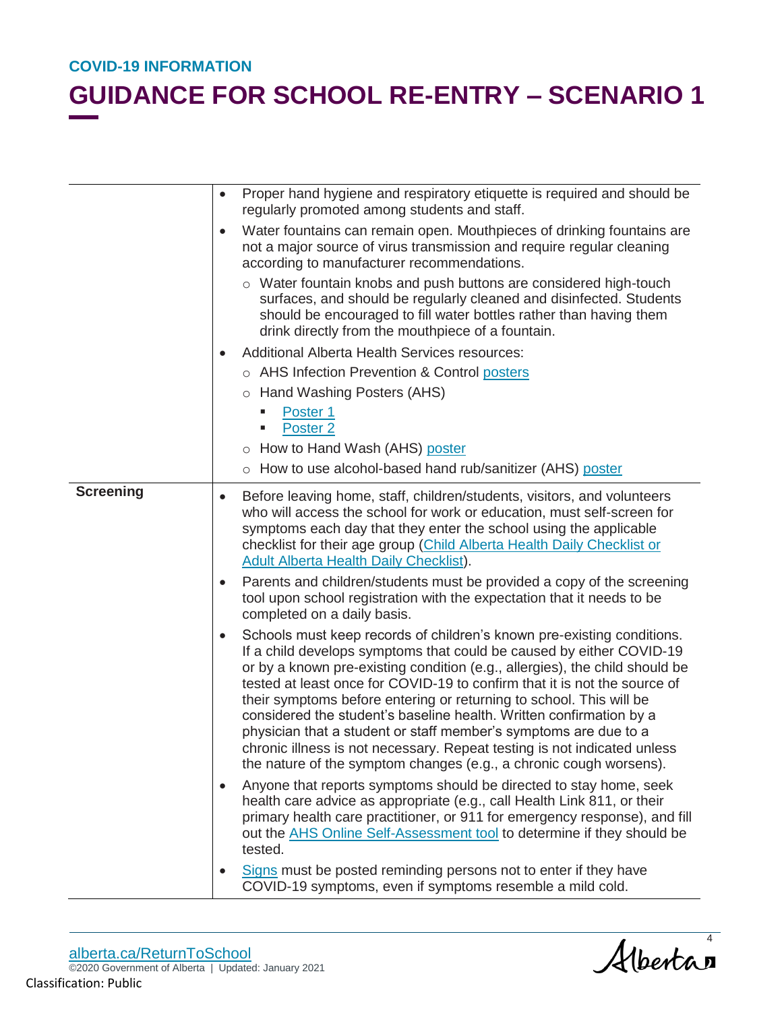|                  | Proper hand hygiene and respiratory etiquette is required and should be<br>$\bullet$<br>regularly promoted among students and staff.                                                                                                                                                                                                                                                                                                                                                                                                                                                                                                                                                        |
|------------------|---------------------------------------------------------------------------------------------------------------------------------------------------------------------------------------------------------------------------------------------------------------------------------------------------------------------------------------------------------------------------------------------------------------------------------------------------------------------------------------------------------------------------------------------------------------------------------------------------------------------------------------------------------------------------------------------|
|                  | Water fountains can remain open. Mouthpieces of drinking fountains are<br>$\bullet$<br>not a major source of virus transmission and require regular cleaning<br>according to manufacturer recommendations.                                                                                                                                                                                                                                                                                                                                                                                                                                                                                  |
|                  | ○ Water fountain knobs and push buttons are considered high-touch<br>surfaces, and should be regularly cleaned and disinfected. Students<br>should be encouraged to fill water bottles rather than having them<br>drink directly from the mouthpiece of a fountain.                                                                                                                                                                                                                                                                                                                                                                                                                         |
|                  | <b>Additional Alberta Health Services resources:</b>                                                                                                                                                                                                                                                                                                                                                                                                                                                                                                                                                                                                                                        |
|                  | o AHS Infection Prevention & Control posters                                                                                                                                                                                                                                                                                                                                                                                                                                                                                                                                                                                                                                                |
|                  | ○ Hand Washing Posters (AHS)                                                                                                                                                                                                                                                                                                                                                                                                                                                                                                                                                                                                                                                                |
|                  | Poster 1                                                                                                                                                                                                                                                                                                                                                                                                                                                                                                                                                                                                                                                                                    |
|                  | Poster <sub>2</sub>                                                                                                                                                                                                                                                                                                                                                                                                                                                                                                                                                                                                                                                                         |
|                  | o How to Hand Wash (AHS) poster                                                                                                                                                                                                                                                                                                                                                                                                                                                                                                                                                                                                                                                             |
|                  | ○ How to use alcohol-based hand rub/sanitizer (AHS) poster                                                                                                                                                                                                                                                                                                                                                                                                                                                                                                                                                                                                                                  |
| <b>Screening</b> | Before leaving home, staff, children/students, visitors, and volunteers<br>$\bullet$<br>who will access the school for work or education, must self-screen for<br>symptoms each day that they enter the school using the applicable<br>checklist for their age group (Child Alberta Health Daily Checklist or<br><b>Adult Alberta Health Daily Checklist).</b>                                                                                                                                                                                                                                                                                                                              |
|                  | Parents and children/students must be provided a copy of the screening<br>$\bullet$<br>tool upon school registration with the expectation that it needs to be<br>completed on a daily basis.                                                                                                                                                                                                                                                                                                                                                                                                                                                                                                |
|                  | Schools must keep records of children's known pre-existing conditions.<br>$\bullet$<br>If a child develops symptoms that could be caused by either COVID-19<br>or by a known pre-existing condition (e.g., allergies), the child should be<br>tested at least once for COVID-19 to confirm that it is not the source of<br>their symptoms before entering or returning to school. This will be<br>considered the student's baseline health. Written confirmation by a<br>physician that a student or staff member's symptoms are due to a<br>chronic illness is not necessary. Repeat testing is not indicated unless<br>the nature of the symptom changes (e.g., a chronic cough worsens). |
|                  | Anyone that reports symptoms should be directed to stay home, seek<br>health care advice as appropriate (e.g., call Health Link 811, or their<br>primary health care practitioner, or 911 for emergency response), and fill<br>out the AHS Online Self-Assessment tool to determine if they should be<br>tested.                                                                                                                                                                                                                                                                                                                                                                            |
|                  | Signs must be posted reminding persons not to enter if they have<br>COVID-19 symptoms, even if symptoms resemble a mild cold.                                                                                                                                                                                                                                                                                                                                                                                                                                                                                                                                                               |

Albertan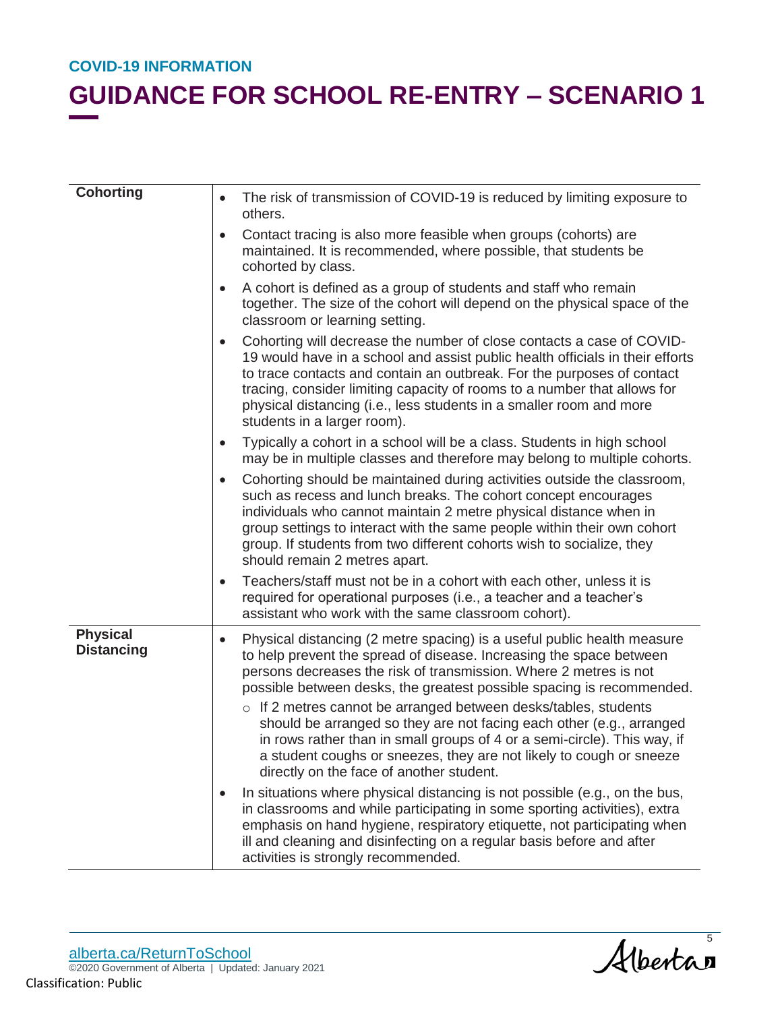| <b>Cohorting</b>                     | The risk of transmission of COVID-19 is reduced by limiting exposure to<br>$\bullet$<br>others.                                                                                                                                                                                                                                                                                                                                                                                                                                                                                                                                                     |
|--------------------------------------|-----------------------------------------------------------------------------------------------------------------------------------------------------------------------------------------------------------------------------------------------------------------------------------------------------------------------------------------------------------------------------------------------------------------------------------------------------------------------------------------------------------------------------------------------------------------------------------------------------------------------------------------------------|
|                                      | Contact tracing is also more feasible when groups (cohorts) are<br>$\bullet$<br>maintained. It is recommended, where possible, that students be<br>cohorted by class.                                                                                                                                                                                                                                                                                                                                                                                                                                                                               |
|                                      | A cohort is defined as a group of students and staff who remain<br>$\bullet$<br>together. The size of the cohort will depend on the physical space of the<br>classroom or learning setting.                                                                                                                                                                                                                                                                                                                                                                                                                                                         |
|                                      | Cohorting will decrease the number of close contacts a case of COVID-<br>19 would have in a school and assist public health officials in their efforts<br>to trace contacts and contain an outbreak. For the purposes of contact<br>tracing, consider limiting capacity of rooms to a number that allows for<br>physical distancing (i.e., less students in a smaller room and more<br>students in a larger room).                                                                                                                                                                                                                                  |
|                                      | Typically a cohort in a school will be a class. Students in high school<br>$\bullet$<br>may be in multiple classes and therefore may belong to multiple cohorts.                                                                                                                                                                                                                                                                                                                                                                                                                                                                                    |
|                                      | Cohorting should be maintained during activities outside the classroom,<br>$\bullet$<br>such as recess and lunch breaks. The cohort concept encourages<br>individuals who cannot maintain 2 metre physical distance when in<br>group settings to interact with the same people within their own cohort<br>group. If students from two different cohorts wish to socialize, they<br>should remain 2 metres apart.                                                                                                                                                                                                                                    |
|                                      | Teachers/staff must not be in a cohort with each other, unless it is<br>$\bullet$<br>required for operational purposes (i.e., a teacher and a teacher's<br>assistant who work with the same classroom cohort).                                                                                                                                                                                                                                                                                                                                                                                                                                      |
| <b>Physical</b><br><b>Distancing</b> | Physical distancing (2 metre spacing) is a useful public health measure<br>$\bullet$<br>to help prevent the spread of disease. Increasing the space between<br>persons decreases the risk of transmission. Where 2 metres is not<br>possible between desks, the greatest possible spacing is recommended.<br>o If 2 metres cannot be arranged between desks/tables, students<br>should be arranged so they are not facing each other (e.g., arranged<br>in rows rather than in small groups of 4 or a semi-circle). This way, if<br>a student coughs or sneezes, they are not likely to cough or sneeze<br>directly on the face of another student. |
|                                      | In situations where physical distancing is not possible (e.g., on the bus,<br>in classrooms and while participating in some sporting activities), extra<br>emphasis on hand hygiene, respiratory etiquette, not participating when<br>ill and cleaning and disinfecting on a regular basis before and after<br>activities is strongly recommended.                                                                                                                                                                                                                                                                                                  |

Albertas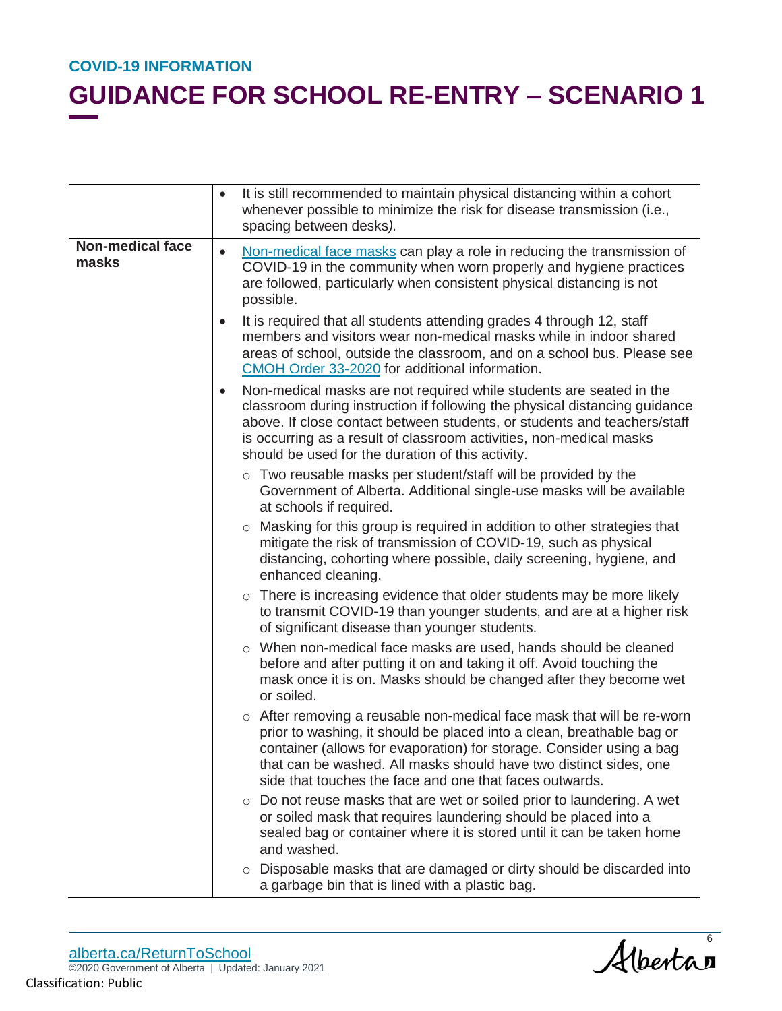|                                  | It is still recommended to maintain physical distancing within a cohort<br>$\bullet$<br>whenever possible to minimize the risk for disease transmission (i.e.,<br>spacing between desks).                                                                                                                                                                              |
|----------------------------------|------------------------------------------------------------------------------------------------------------------------------------------------------------------------------------------------------------------------------------------------------------------------------------------------------------------------------------------------------------------------|
| <b>Non-medical face</b><br>masks | Non-medical face masks can play a role in reducing the transmission of<br>$\bullet$<br>COVID-19 in the community when worn properly and hygiene practices<br>are followed, particularly when consistent physical distancing is not<br>possible.                                                                                                                        |
|                                  | It is required that all students attending grades 4 through 12, staff<br>$\bullet$<br>members and visitors wear non-medical masks while in indoor shared<br>areas of school, outside the classroom, and on a school bus. Please see<br>CMOH Order 33-2020 for additional information.                                                                                  |
|                                  | Non-medical masks are not required while students are seated in the<br>$\bullet$<br>classroom during instruction if following the physical distancing guidance<br>above. If close contact between students, or students and teachers/staff<br>is occurring as a result of classroom activities, non-medical masks<br>should be used for the duration of this activity. |
|                                  | o Two reusable masks per student/staff will be provided by the<br>Government of Alberta. Additional single-use masks will be available<br>at schools if required.                                                                                                                                                                                                      |
|                                  | ○ Masking for this group is required in addition to other strategies that<br>mitigate the risk of transmission of COVID-19, such as physical<br>distancing, cohorting where possible, daily screening, hygiene, and<br>enhanced cleaning.                                                                                                                              |
|                                  | o There is increasing evidence that older students may be more likely<br>to transmit COVID-19 than younger students, and are at a higher risk<br>of significant disease than younger students.                                                                                                                                                                         |
|                                  | o When non-medical face masks are used, hands should be cleaned<br>before and after putting it on and taking it off. Avoid touching the<br>mask once it is on. Masks should be changed after they become wet<br>or soiled.                                                                                                                                             |
|                                  | $\circ$ After removing a reusable non-medical face mask that will be re-worn<br>prior to washing, it should be placed into a clean, breathable bag or<br>container (allows for evaporation) for storage. Consider using a bag<br>that can be washed. All masks should have two distinct sides, one<br>side that touches the face and one that faces outwards.          |
|                                  | $\circ$ Do not reuse masks that are wet or soiled prior to laundering. A wet<br>or soiled mask that requires laundering should be placed into a<br>sealed bag or container where it is stored until it can be taken home<br>and washed.                                                                                                                                |
|                                  | Disposable masks that are damaged or dirty should be discarded into<br>$\circ$<br>a garbage bin that is lined with a plastic bag.                                                                                                                                                                                                                                      |

Albertan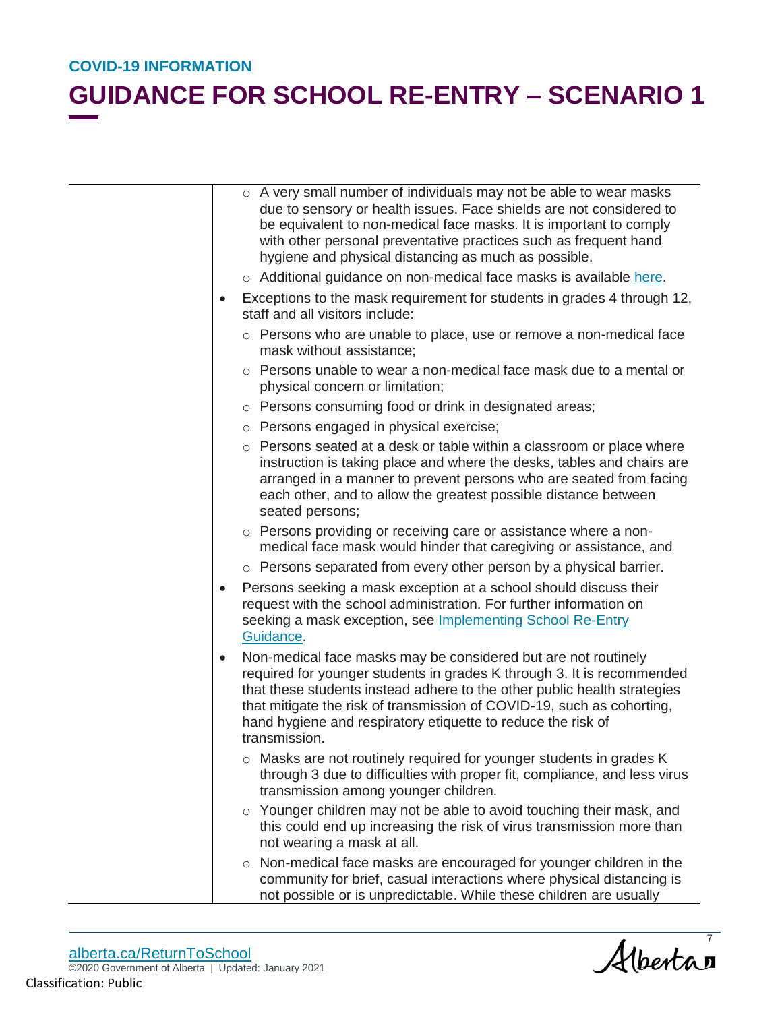## **GUIDANCE FOR SCHOOL RE-ENTRY – SCENARIO 1**

|           | o A very small number of individuals may not be able to wear masks<br>due to sensory or health issues. Face shields are not considered to<br>be equivalent to non-medical face masks. It is important to comply<br>with other personal preventative practices such as frequent hand<br>hygiene and physical distancing as much as possible.                                     |
|-----------|---------------------------------------------------------------------------------------------------------------------------------------------------------------------------------------------------------------------------------------------------------------------------------------------------------------------------------------------------------------------------------|
|           | o Additional guidance on non-medical face masks is available here.                                                                                                                                                                                                                                                                                                              |
| $\bullet$ | Exceptions to the mask requirement for students in grades 4 through 12,<br>staff and all visitors include:                                                                                                                                                                                                                                                                      |
|           | o Persons who are unable to place, use or remove a non-medical face<br>mask without assistance;                                                                                                                                                                                                                                                                                 |
|           | $\circ$ Persons unable to wear a non-medical face mask due to a mental or<br>physical concern or limitation;                                                                                                                                                                                                                                                                    |
|           | o Persons consuming food or drink in designated areas;                                                                                                                                                                                                                                                                                                                          |
|           | o Persons engaged in physical exercise;                                                                                                                                                                                                                                                                                                                                         |
|           | o Persons seated at a desk or table within a classroom or place where<br>instruction is taking place and where the desks, tables and chairs are<br>arranged in a manner to prevent persons who are seated from facing<br>each other, and to allow the greatest possible distance between<br>seated persons;                                                                     |
|           | o Persons providing or receiving care or assistance where a non-<br>medical face mask would hinder that caregiving or assistance, and                                                                                                                                                                                                                                           |
|           | o Persons separated from every other person by a physical barrier.                                                                                                                                                                                                                                                                                                              |
| $\bullet$ | Persons seeking a mask exception at a school should discuss their<br>request with the school administration. For further information on<br>seeking a mask exception, see Implementing School Re-Entry<br>Guidance.                                                                                                                                                              |
| $\bullet$ | Non-medical face masks may be considered but are not routinely<br>required for younger students in grades K through 3. It is recommended<br>that these students instead adhere to the other public health strategies<br>that mitigate the risk of transmission of COVID-19, such as cohorting,<br>hand hygiene and respiratory etiquette to reduce the risk of<br>transmission. |
|           | $\circ$ Masks are not routinely required for younger students in grades K<br>through 3 due to difficulties with proper fit, compliance, and less virus<br>transmission among younger children.                                                                                                                                                                                  |
|           | o Younger children may not be able to avoid touching their mask, and<br>this could end up increasing the risk of virus transmission more than<br>not wearing a mask at all.                                                                                                                                                                                                     |
|           | Non-medical face masks are encouraged for younger children in the<br>$\circ$<br>community for brief, casual interactions where physical distancing is<br>not possible or is unpredictable. While these children are usually                                                                                                                                                     |

alberta.ca/ReturnToSchool ©2020 Government of Alberta | Updated: January 2021 Classification: Public

Albertan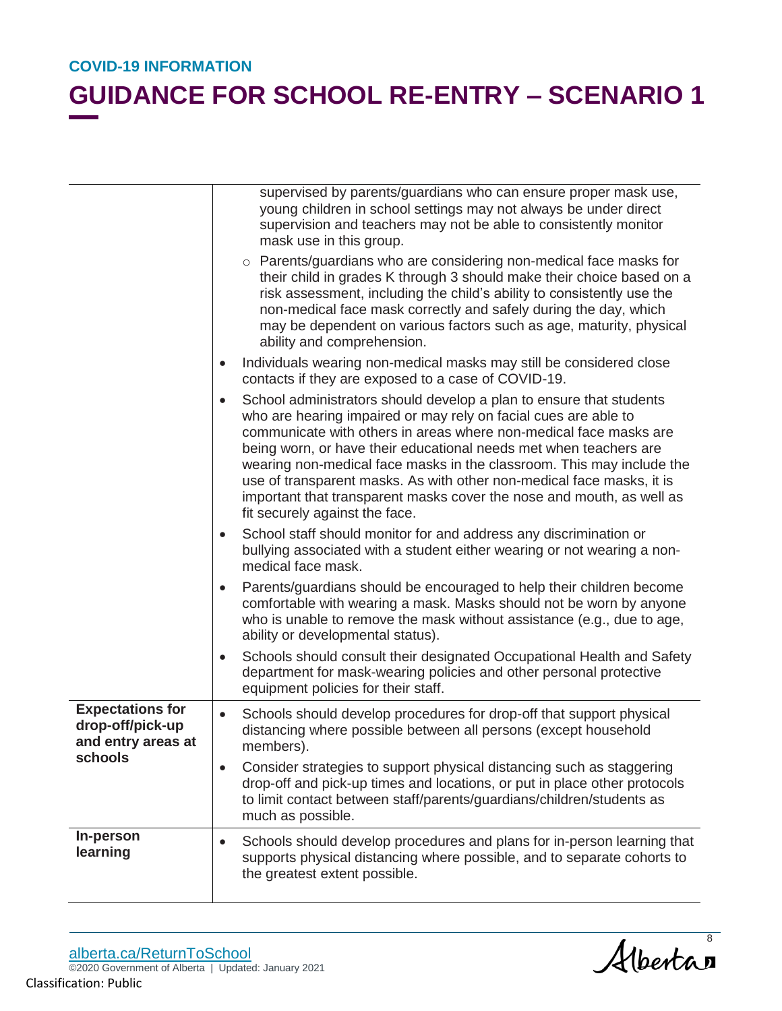|                                                                              | supervised by parents/guardians who can ensure proper mask use,<br>young children in school settings may not always be under direct<br>supervision and teachers may not be able to consistently monitor<br>mask use in this group.                                                                                                                                                                                                                                                                                                                         |
|------------------------------------------------------------------------------|------------------------------------------------------------------------------------------------------------------------------------------------------------------------------------------------------------------------------------------------------------------------------------------------------------------------------------------------------------------------------------------------------------------------------------------------------------------------------------------------------------------------------------------------------------|
|                                                                              | o Parents/guardians who are considering non-medical face masks for<br>their child in grades K through 3 should make their choice based on a<br>risk assessment, including the child's ability to consistently use the<br>non-medical face mask correctly and safely during the day, which<br>may be dependent on various factors such as age, maturity, physical<br>ability and comprehension.                                                                                                                                                             |
|                                                                              | Individuals wearing non-medical masks may still be considered close<br>$\bullet$<br>contacts if they are exposed to a case of COVID-19.                                                                                                                                                                                                                                                                                                                                                                                                                    |
|                                                                              | School administrators should develop a plan to ensure that students<br>$\bullet$<br>who are hearing impaired or may rely on facial cues are able to<br>communicate with others in areas where non-medical face masks are<br>being worn, or have their educational needs met when teachers are<br>wearing non-medical face masks in the classroom. This may include the<br>use of transparent masks. As with other non-medical face masks, it is<br>important that transparent masks cover the nose and mouth, as well as<br>fit securely against the face. |
|                                                                              | School staff should monitor for and address any discrimination or<br>$\bullet$<br>bullying associated with a student either wearing or not wearing a non-<br>medical face mask.                                                                                                                                                                                                                                                                                                                                                                            |
|                                                                              | Parents/guardians should be encouraged to help their children become<br>$\bullet$<br>comfortable with wearing a mask. Masks should not be worn by anyone<br>who is unable to remove the mask without assistance (e.g., due to age,<br>ability or developmental status).                                                                                                                                                                                                                                                                                    |
|                                                                              | Schools should consult their designated Occupational Health and Safety<br>$\bullet$<br>department for mask-wearing policies and other personal protective<br>equipment policies for their staff.                                                                                                                                                                                                                                                                                                                                                           |
| <b>Expectations for</b><br>drop-off/pick-up<br>and entry areas at<br>schools | Schools should develop procedures for drop-off that support physical<br>$\bullet$<br>distancing where possible between all persons (except household<br>members).                                                                                                                                                                                                                                                                                                                                                                                          |
|                                                                              | Consider strategies to support physical distancing such as staggering<br>$\bullet$<br>drop-off and pick-up times and locations, or put in place other protocols<br>to limit contact between staff/parents/guardians/children/students as<br>much as possible.                                                                                                                                                                                                                                                                                              |
| In-person<br>learning                                                        | Schools should develop procedures and plans for in-person learning that<br>$\bullet$<br>supports physical distancing where possible, and to separate cohorts to<br>the greatest extent possible.                                                                                                                                                                                                                                                                                                                                                           |

Albertan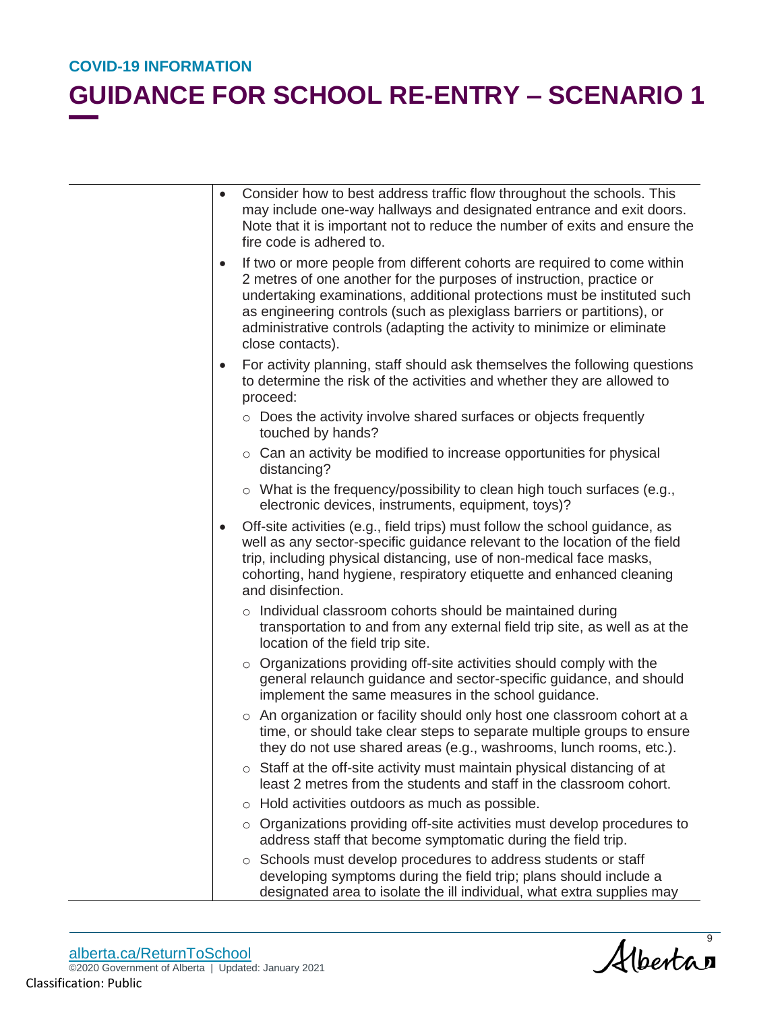|           | Consider how to best address traffic flow throughout the schools. This<br>may include one-way hallways and designated entrance and exit doors.<br>Note that it is important not to reduce the number of exits and ensure the<br>fire code is adhered to.                                                                                                                                               |
|-----------|--------------------------------------------------------------------------------------------------------------------------------------------------------------------------------------------------------------------------------------------------------------------------------------------------------------------------------------------------------------------------------------------------------|
| $\bullet$ | If two or more people from different cohorts are required to come within<br>2 metres of one another for the purposes of instruction, practice or<br>undertaking examinations, additional protections must be instituted such<br>as engineering controls (such as plexiglass barriers or partitions), or<br>administrative controls (adapting the activity to minimize or eliminate<br>close contacts). |
| $\bullet$ | For activity planning, staff should ask themselves the following questions<br>to determine the risk of the activities and whether they are allowed to<br>proceed:                                                                                                                                                                                                                                      |
|           | o Does the activity involve shared surfaces or objects frequently<br>touched by hands?                                                                                                                                                                                                                                                                                                                 |
|           | ○ Can an activity be modified to increase opportunities for physical<br>distancing?                                                                                                                                                                                                                                                                                                                    |
|           | $\circ$ What is the frequency/possibility to clean high touch surfaces (e.g.,<br>electronic devices, instruments, equipment, toys)?                                                                                                                                                                                                                                                                    |
|           | Off-site activities (e.g., field trips) must follow the school guidance, as<br>well as any sector-specific guidance relevant to the location of the field<br>trip, including physical distancing, use of non-medical face masks,<br>cohorting, hand hygiene, respiratory etiquette and enhanced cleaning<br>and disinfection.                                                                          |
|           | o Individual classroom cohorts should be maintained during<br>transportation to and from any external field trip site, as well as at the<br>location of the field trip site.                                                                                                                                                                                                                           |
|           | $\circ$ Organizations providing off-site activities should comply with the<br>general relaunch guidance and sector-specific guidance, and should<br>implement the same measures in the school guidance.                                                                                                                                                                                                |
|           | o An organization or facility should only host one classroom cohort at a<br>time, or should take clear steps to separate multiple groups to ensure<br>they do not use shared areas (e.g., washrooms, lunch rooms, etc.).                                                                                                                                                                               |
|           | o Staff at the off-site activity must maintain physical distancing of at<br>least 2 metres from the students and staff in the classroom cohort.                                                                                                                                                                                                                                                        |
|           | ○ Hold activities outdoors as much as possible.                                                                                                                                                                                                                                                                                                                                                        |
|           | Organizations providing off-site activities must develop procedures to<br>address staff that become symptomatic during the field trip.                                                                                                                                                                                                                                                                 |
|           | o Schools must develop procedures to address students or staff<br>developing symptoms during the field trip; plans should include a<br>designated area to isolate the ill individual, what extra supplies may                                                                                                                                                                                          |

Albertan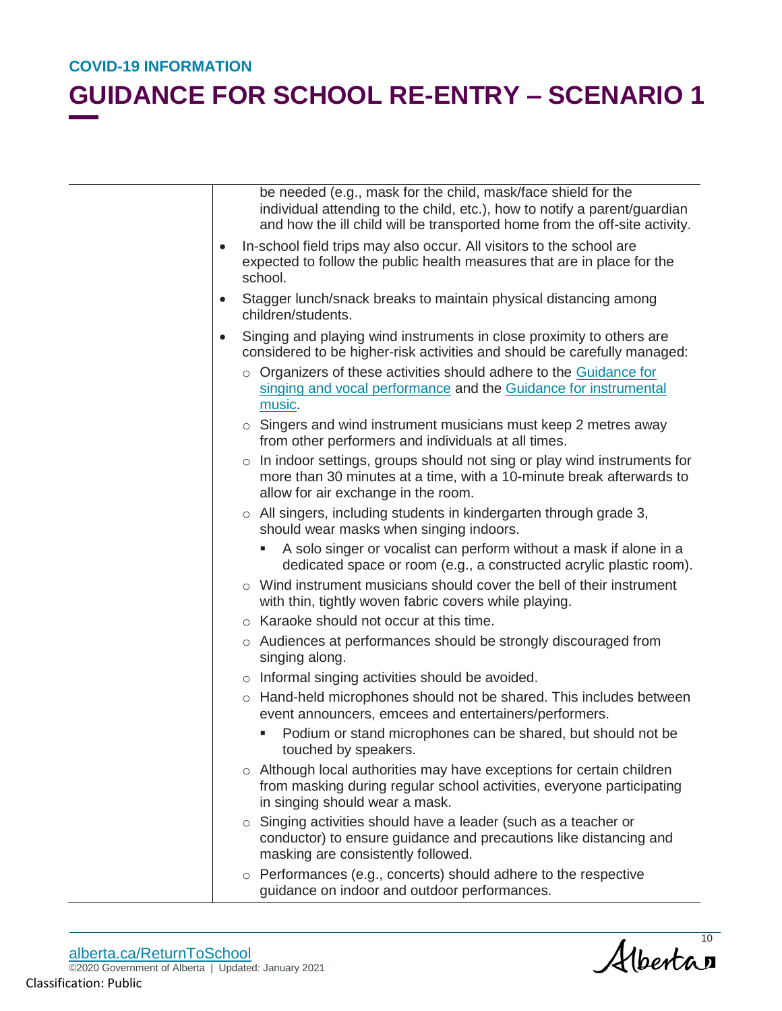## **GUIDANCE FOR SCHOOL RE-ENTRY – SCENARIO 1**

| be needed (e.g., mask for the child, mask/face shield for the<br>individual attending to the child, etc.), how to notify a parent/guardian<br>and how the ill child will be transported home from the off-site activity. |  |
|--------------------------------------------------------------------------------------------------------------------------------------------------------------------------------------------------------------------------|--|
| In-school field trips may also occur. All visitors to the school are<br>$\bullet$<br>expected to follow the public health measures that are in place for the<br>school.                                                  |  |
| Stagger lunch/snack breaks to maintain physical distancing among<br>$\bullet$<br>children/students.                                                                                                                      |  |
| Singing and playing wind instruments in close proximity to others are<br>$\bullet$<br>considered to be higher-risk activities and should be carefully managed:                                                           |  |
| o Organizers of these activities should adhere to the Guidance for<br>singing and vocal performance and the Guidance for instrumental<br>music.                                                                          |  |
| $\circ$ Singers and wind instrument musicians must keep 2 metres away<br>from other performers and individuals at all times.                                                                                             |  |
| o In indoor settings, groups should not sing or play wind instruments for<br>more than 30 minutes at a time, with a 10-minute break afterwards to<br>allow for air exchange in the room.                                 |  |
| $\circ$ All singers, including students in kindergarten through grade 3,<br>should wear masks when singing indoors.                                                                                                      |  |
| A solo singer or vocalist can perform without a mask if alone in a<br>dedicated space or room (e.g., a constructed acrylic plastic room).                                                                                |  |
| $\circ$ Wind instrument musicians should cover the bell of their instrument<br>with thin, tightly woven fabric covers while playing.                                                                                     |  |
| ○ Karaoke should not occur at this time.                                                                                                                                                                                 |  |
| ○ Audiences at performances should be strongly discouraged from<br>singing along.                                                                                                                                        |  |
| $\circ$ Informal singing activities should be avoided.                                                                                                                                                                   |  |
| o Hand-held microphones should not be shared. This includes between<br>event announcers, emcees and entertainers/performers.                                                                                             |  |
| Podium or stand microphones can be shared, but should not be<br>touched by speakers.                                                                                                                                     |  |
| o Although local authorities may have exceptions for certain children<br>from masking during regular school activities, everyone participating<br>in singing should wear a mask.                                         |  |
| Singing activities should have a leader (such as a teacher or<br>$\circ$<br>conductor) to ensure guidance and precautions like distancing and<br>masking are consistently followed.                                      |  |
| $\circ$ Performances (e.g., concerts) should adhere to the respective<br>guidance on indoor and outdoor performances.                                                                                                    |  |

alberta.ca/ReturnToSchool ©2020 Government of Alberta | Updated: January 2021 Classification: Public

Albertan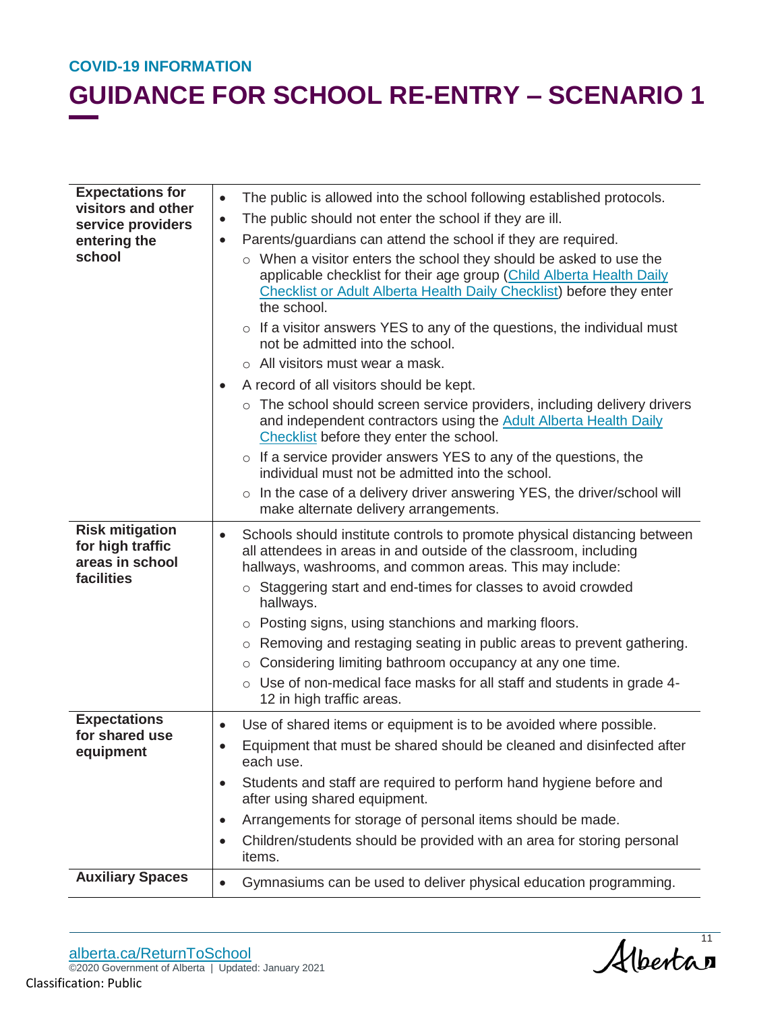| <b>Expectations for</b>                                           | The public is allowed into the school following established protocols.<br>$\bullet$                                                                                                                                               |
|-------------------------------------------------------------------|-----------------------------------------------------------------------------------------------------------------------------------------------------------------------------------------------------------------------------------|
| visitors and other<br>service providers<br>entering the<br>school | The public should not enter the school if they are ill.<br>$\bullet$                                                                                                                                                              |
|                                                                   | Parents/guardians can attend the school if they are required.<br>$\bullet$                                                                                                                                                        |
|                                                                   | o When a visitor enters the school they should be asked to use the<br>applicable checklist for their age group (Child Alberta Health Daily<br>Checklist or Adult Alberta Health Daily Checklist) before they enter<br>the school. |
|                                                                   | $\circ$ If a visitor answers YES to any of the questions, the individual must<br>not be admitted into the school.                                                                                                                 |
|                                                                   | $\circ$ All visitors must wear a mask.                                                                                                                                                                                            |
|                                                                   | A record of all visitors should be kept.                                                                                                                                                                                          |
|                                                                   | $\circ$ The school should screen service providers, including delivery drivers<br>and independent contractors using the Adult Alberta Health Daily<br>Checklist before they enter the school.                                     |
|                                                                   | $\circ$ If a service provider answers YES to any of the questions, the<br>individual must not be admitted into the school.                                                                                                        |
|                                                                   | In the case of a delivery driver answering YES, the driver/school will<br>$\circ$<br>make alternate delivery arrangements.                                                                                                        |
| <b>Risk mitigation</b><br>for high traffic<br>areas in school     | Schools should institute controls to promote physical distancing between<br>$\bullet$<br>all attendees in areas in and outside of the classroom, including<br>hallways, washrooms, and common areas. This may include:            |
| facilities                                                        | ○ Staggering start and end-times for classes to avoid crowded<br>hallways.                                                                                                                                                        |
|                                                                   | Posting signs, using stanchions and marking floors.<br>$\circ$                                                                                                                                                                    |
|                                                                   | Removing and restaging seating in public areas to prevent gathering.<br>$\circ$                                                                                                                                                   |
|                                                                   | Considering limiting bathroom occupancy at any one time.<br>$\circ$                                                                                                                                                               |
|                                                                   | Use of non-medical face masks for all staff and students in grade 4-<br>$\circ$<br>12 in high traffic areas.                                                                                                                      |
| <b>Expectations</b><br>for shared use<br>equipment                | Use of shared items or equipment is to be avoided where possible.                                                                                                                                                                 |
|                                                                   | Equipment that must be shared should be cleaned and disinfected after<br>each use.                                                                                                                                                |
|                                                                   | Students and staff are required to perform hand hygiene before and<br>$\bullet$<br>after using shared equipment.                                                                                                                  |
|                                                                   | Arrangements for storage of personal items should be made.<br>$\bullet$                                                                                                                                                           |
|                                                                   | Children/students should be provided with an area for storing personal<br>$\bullet$<br>items.                                                                                                                                     |
| <b>Auxiliary Spaces</b>                                           | Gymnasiums can be used to deliver physical education programming.<br>$\bullet$                                                                                                                                                    |

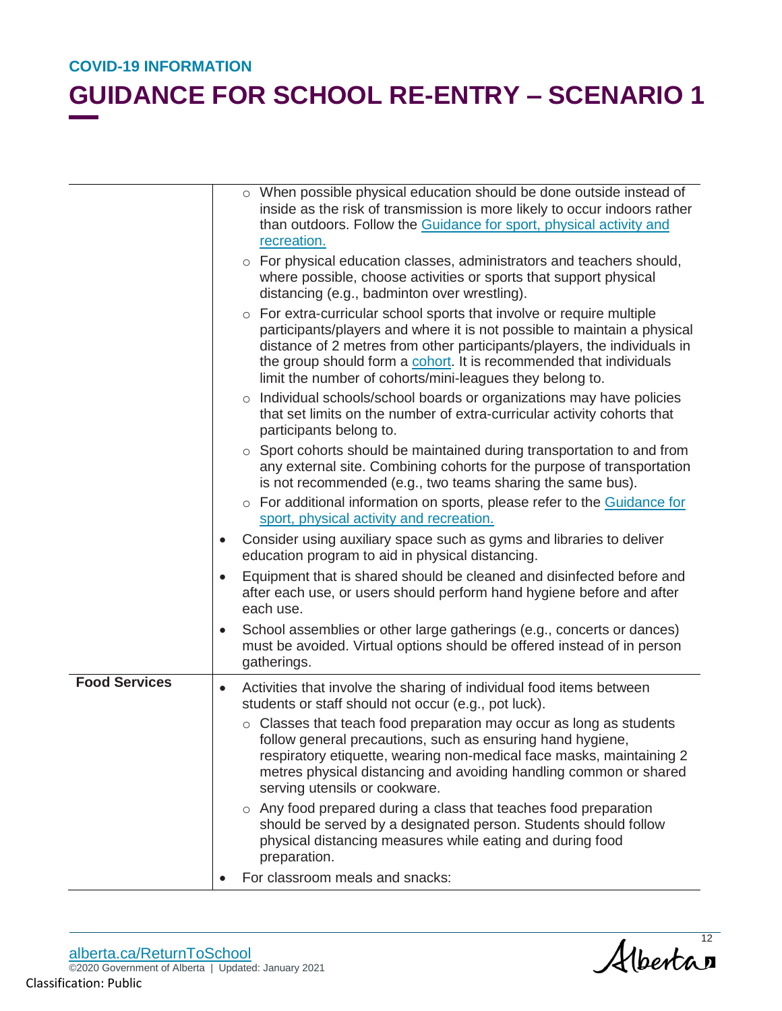## **GUIDANCE FOR SCHOOL RE-ENTRY – SCENARIO 1**

|                      |           | o When possible physical education should be done outside instead of<br>inside as the risk of transmission is more likely to occur indoors rather<br>than outdoors. Follow the Guidance for sport, physical activity and<br>recreation.                                                                                                                                  |
|----------------------|-----------|--------------------------------------------------------------------------------------------------------------------------------------------------------------------------------------------------------------------------------------------------------------------------------------------------------------------------------------------------------------------------|
|                      |           | o For physical education classes, administrators and teachers should,<br>where possible, choose activities or sports that support physical<br>distancing (e.g., badminton over wrestling).                                                                                                                                                                               |
|                      |           | For extra-curricular school sports that involve or require multiple<br>$\circ$<br>participants/players and where it is not possible to maintain a physical<br>distance of 2 metres from other participants/players, the individuals in<br>the group should form a cohort. It is recommended that individuals<br>limit the number of cohorts/mini-leagues they belong to. |
|                      |           | o Individual schools/school boards or organizations may have policies<br>that set limits on the number of extra-curricular activity cohorts that<br>participants belong to.                                                                                                                                                                                              |
|                      |           | $\circ$ Sport cohorts should be maintained during transportation to and from<br>any external site. Combining cohorts for the purpose of transportation<br>is not recommended (e.g., two teams sharing the same bus).                                                                                                                                                     |
|                      |           | o For additional information on sports, please refer to the Guidance for<br>sport, physical activity and recreation.                                                                                                                                                                                                                                                     |
|                      |           | Consider using auxiliary space such as gyms and libraries to deliver<br>education program to aid in physical distancing.                                                                                                                                                                                                                                                 |
|                      |           | Equipment that is shared should be cleaned and disinfected before and<br>after each use, or users should perform hand hygiene before and after<br>each use.                                                                                                                                                                                                              |
|                      | $\bullet$ | School assemblies or other large gatherings (e.g., concerts or dances)<br>must be avoided. Virtual options should be offered instead of in person<br>gatherings.                                                                                                                                                                                                         |
| <b>Food Services</b> | $\bullet$ | Activities that involve the sharing of individual food items between<br>students or staff should not occur (e.g., pot luck).                                                                                                                                                                                                                                             |
|                      |           | $\circ$ Classes that teach food preparation may occur as long as students<br>follow general precautions, such as ensuring hand hygiene,<br>respiratory etiquette, wearing non-medical face masks, maintaining 2<br>metres physical distancing and avoiding handling common or shared<br>serving utensils or cookware.                                                    |
|                      |           | $\circ$ Any food prepared during a class that teaches food preparation<br>should be served by a designated person. Students should follow<br>physical distancing measures while eating and during food<br>preparation.                                                                                                                                                   |
|                      |           | For classroom meals and snacks:                                                                                                                                                                                                                                                                                                                                          |

alberta.ca/ReturnToSchool ©2020 Government of Alberta | Updated: January 2021 Classification: Public

Albertan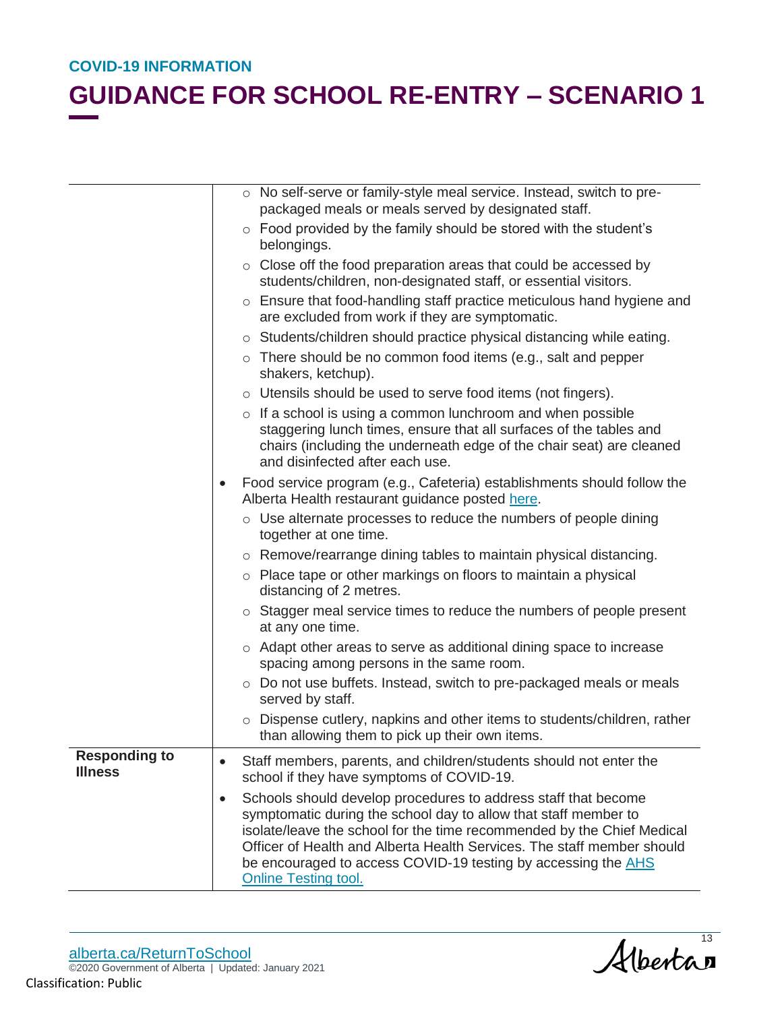|                                        | o No self-serve or family-style meal service. Instead, switch to pre-<br>packaged meals or meals served by designated staff.                                                                                                                                                                                                                                                                       |
|----------------------------------------|----------------------------------------------------------------------------------------------------------------------------------------------------------------------------------------------------------------------------------------------------------------------------------------------------------------------------------------------------------------------------------------------------|
|                                        | $\circ$ Food provided by the family should be stored with the student's<br>belongings.                                                                                                                                                                                                                                                                                                             |
|                                        | $\circ$ Close off the food preparation areas that could be accessed by<br>students/children, non-designated staff, or essential visitors.                                                                                                                                                                                                                                                          |
|                                        | $\circ$ Ensure that food-handling staff practice meticulous hand hygiene and<br>are excluded from work if they are symptomatic.                                                                                                                                                                                                                                                                    |
|                                        | o Students/children should practice physical distancing while eating.                                                                                                                                                                                                                                                                                                                              |
|                                        | $\circ$ There should be no common food items (e.g., salt and pepper<br>shakers, ketchup).                                                                                                                                                                                                                                                                                                          |
|                                        | $\circ$ Utensils should be used to serve food items (not fingers).                                                                                                                                                                                                                                                                                                                                 |
|                                        | $\circ$ If a school is using a common lunchroom and when possible<br>staggering lunch times, ensure that all surfaces of the tables and<br>chairs (including the underneath edge of the chair seat) are cleaned<br>and disinfected after each use.                                                                                                                                                 |
|                                        | Food service program (e.g., Cafeteria) establishments should follow the<br>Alberta Health restaurant guidance posted here.                                                                                                                                                                                                                                                                         |
|                                        | $\circ$ Use alternate processes to reduce the numbers of people dining<br>together at one time.                                                                                                                                                                                                                                                                                                    |
|                                        | $\circ$ Remove/rearrange dining tables to maintain physical distancing.                                                                                                                                                                                                                                                                                                                            |
|                                        | o Place tape or other markings on floors to maintain a physical<br>distancing of 2 metres.                                                                                                                                                                                                                                                                                                         |
|                                        | $\circ$ Stagger meal service times to reduce the numbers of people present<br>at any one time.                                                                                                                                                                                                                                                                                                     |
|                                        | $\circ$ Adapt other areas to serve as additional dining space to increase<br>spacing among persons in the same room.                                                                                                                                                                                                                                                                               |
|                                        | ○ Do not use buffets. Instead, switch to pre-packaged meals or meals<br>served by staff.                                                                                                                                                                                                                                                                                                           |
|                                        | Dispense cutlery, napkins and other items to students/children, rather<br>than allowing them to pick up their own items.                                                                                                                                                                                                                                                                           |
| <b>Responding to</b><br><b>Illness</b> | Staff members, parents, and children/students should not enter the<br>$\bullet$<br>school if they have symptoms of COVID-19.                                                                                                                                                                                                                                                                       |
|                                        | Schools should develop procedures to address staff that become<br>$\bullet$<br>symptomatic during the school day to allow that staff member to<br>isolate/leave the school for the time recommended by the Chief Medical<br>Officer of Health and Alberta Health Services. The staff member should<br>be encouraged to access COVID-19 testing by accessing the AHS<br><b>Online Testing tool.</b> |

Albertan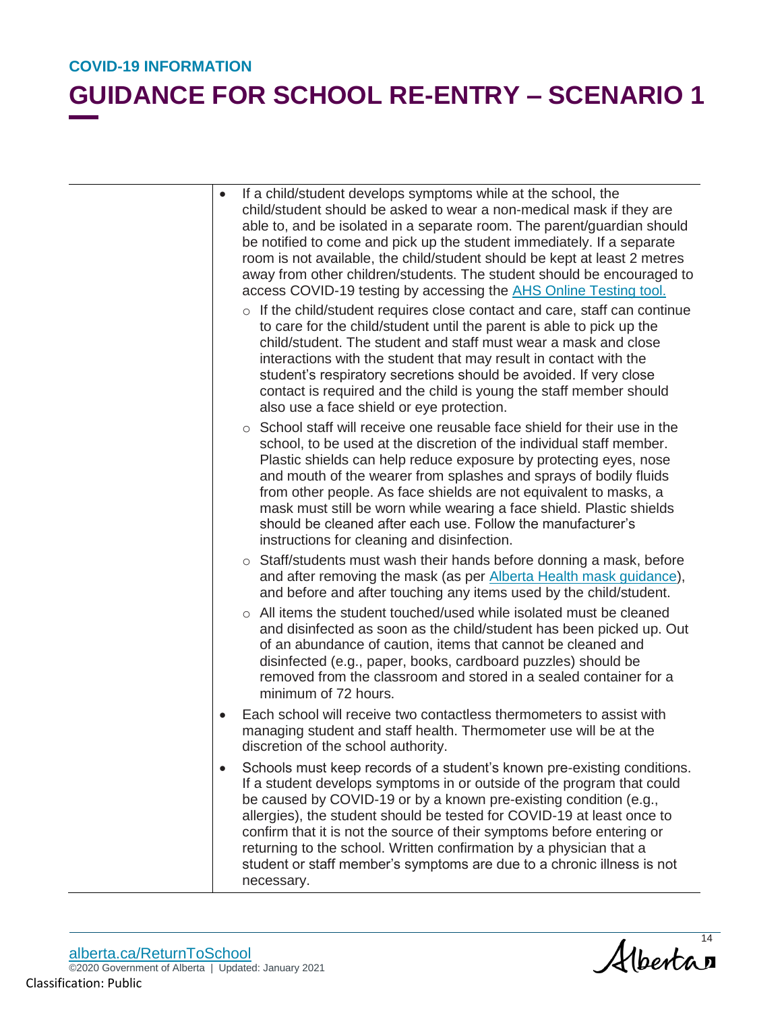- If a child/student develops symptoms while at the school, the child/student should be asked to wear a non-medical mask if they are able to, and be isolated in a separate room. The parent/guardian should be notified to come and pick up the student immediately. If a separate room is not available, the child/student should be kept at least 2 metres away from other children/students. The student should be encouraged to access COVID-19 testing by accessing the **AHS Online Testing tool.** 
	- o If the child/student requires close contact and care, staff can continue to care for the child/student until the parent is able to pick up the child/student. The student and staff must wear a mask and close interactions with the student that may result in contact with the student's respiratory secretions should be avoided. If very close contact is required and the child is young the staff member should also use a face shield or eye protection.
	- $\circ$  School staff will receive one reusable face shield for their use in the school, to be used at the discretion of the individual staff member. Plastic shields can help reduce exposure by protecting eyes, nose and mouth of the wearer from splashes and sprays of bodily fluids from other people. As face shields are not equivalent to masks, a mask must still be worn while wearing a face shield. Plastic shields should be cleaned after each use. Follow the manufacturer's instructions for cleaning and disinfection.
	- o Staff/students must wash their hands before donning a mask, before and after removing the mask (as per Alberta Health mask guidance), and before and after touching any items used by the child/student.
	- o All items the student touched/used while isolated must be cleaned and disinfected as soon as the child/student has been picked up. Out of an abundance of caution, items that cannot be cleaned and disinfected (e.g., paper, books, cardboard puzzles) should be removed from the classroom and stored in a sealed container for a minimum of 72 hours.
- Each school will receive two contactless thermometers to assist with managing student and staff health. Thermometer use will be at the discretion of the school authority.
- Schools must keep records of a student's known pre-existing conditions. If a student develops symptoms in or outside of the program that could be caused by COVID-19 or by a known pre-existing condition (e.g., allergies), the student should be tested for COVID-19 at least once to confirm that it is not the source of their symptoms before entering or returning to the school. Written confirmation by a physician that a student or staff member's symptoms are due to a chronic illness is not necessary.

Albertan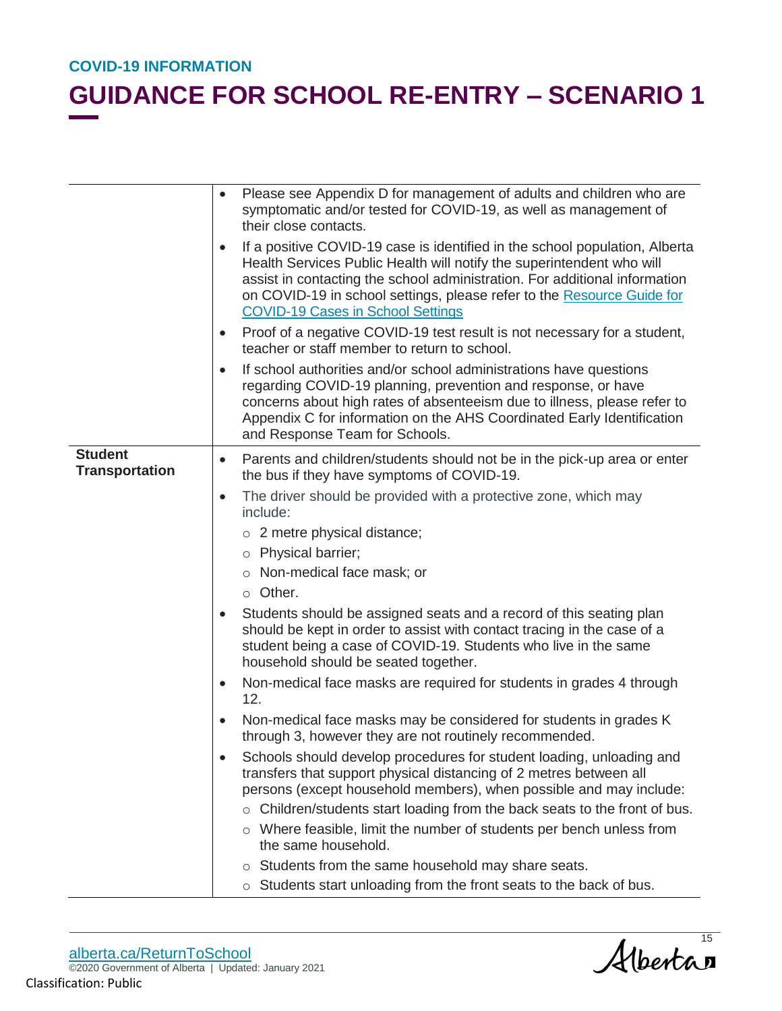|                                         | Please see Appendix D for management of adults and children who are<br>symptomatic and/or tested for COVID-19, as well as management of<br>their close contacts.                                                                                                                                                                                                      |
|-----------------------------------------|-----------------------------------------------------------------------------------------------------------------------------------------------------------------------------------------------------------------------------------------------------------------------------------------------------------------------------------------------------------------------|
|                                         | If a positive COVID-19 case is identified in the school population, Alberta<br>$\bullet$<br>Health Services Public Health will notify the superintendent who will<br>assist in contacting the school administration. For additional information<br>on COVID-19 in school settings, please refer to the Resource Guide for<br><b>COVID-19 Cases in School Settings</b> |
|                                         | Proof of a negative COVID-19 test result is not necessary for a student,<br>$\bullet$<br>teacher or staff member to return to school.                                                                                                                                                                                                                                 |
|                                         | If school authorities and/or school administrations have questions<br>$\bullet$<br>regarding COVID-19 planning, prevention and response, or have<br>concerns about high rates of absenteeism due to illness, please refer to<br>Appendix C for information on the AHS Coordinated Early Identification<br>and Response Team for Schools.                              |
| <b>Student</b><br><b>Transportation</b> | Parents and children/students should not be in the pick-up area or enter<br>$\bullet$<br>the bus if they have symptoms of COVID-19.                                                                                                                                                                                                                                   |
|                                         | The driver should be provided with a protective zone, which may<br>$\bullet$<br>include:                                                                                                                                                                                                                                                                              |
|                                         | $\circ$ 2 metre physical distance;                                                                                                                                                                                                                                                                                                                                    |
|                                         | o Physical barrier;                                                                                                                                                                                                                                                                                                                                                   |
|                                         | o Non-medical face mask; or                                                                                                                                                                                                                                                                                                                                           |
|                                         | $\circ$ Other.                                                                                                                                                                                                                                                                                                                                                        |
|                                         | Students should be assigned seats and a record of this seating plan<br>$\bullet$<br>should be kept in order to assist with contact tracing in the case of a<br>student being a case of COVID-19. Students who live in the same<br>household should be seated together.                                                                                                |
|                                         | Non-medical face masks are required for students in grades 4 through<br>$\bullet$<br>12.                                                                                                                                                                                                                                                                              |
|                                         | Non-medical face masks may be considered for students in grades K<br>$\bullet$<br>through 3, however they are not routinely recommended.                                                                                                                                                                                                                              |
|                                         | Schools should develop procedures for student loading, unloading and<br>transfers that support physical distancing of 2 metres between all<br>persons (except household members), when possible and may include:                                                                                                                                                      |
|                                         | Children/students start loading from the back seats to the front of bus.                                                                                                                                                                                                                                                                                              |
|                                         | o Where feasible, limit the number of students per bench unless from<br>the same household.                                                                                                                                                                                                                                                                           |
|                                         | Students from the same household may share seats.<br>$\circ$                                                                                                                                                                                                                                                                                                          |
|                                         | o Students start unloading from the front seats to the back of bus.                                                                                                                                                                                                                                                                                                   |

Albertan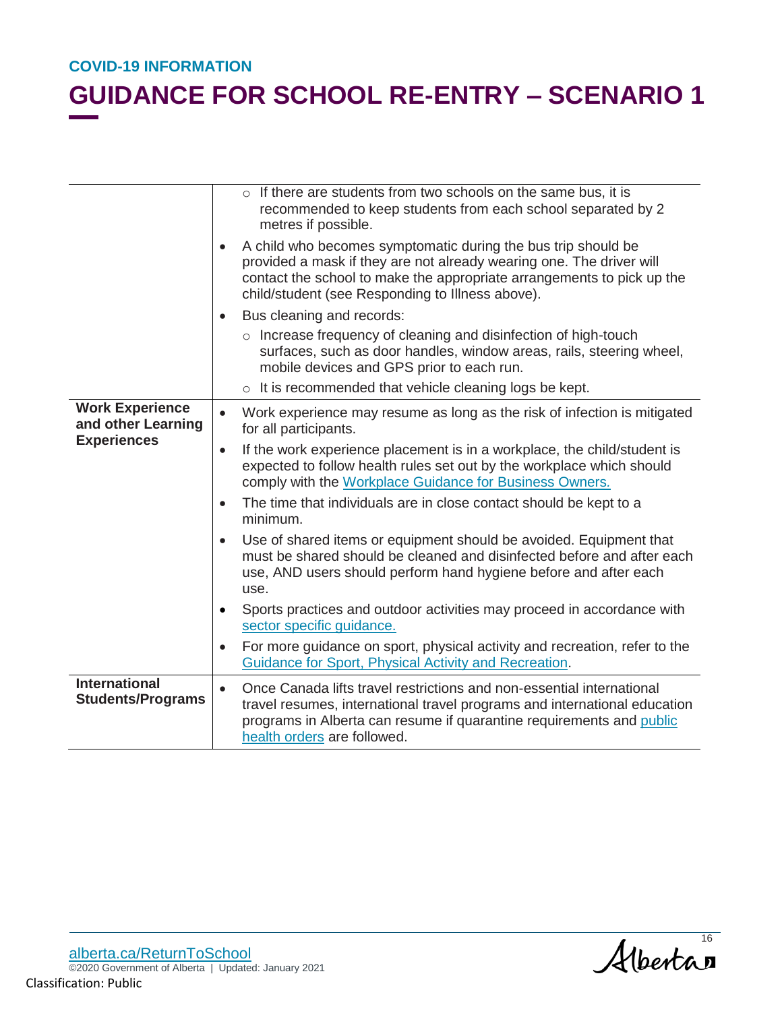|                                                                    | o If there are students from two schools on the same bus, it is<br>recommended to keep students from each school separated by 2<br>metres if possible.                                                                                                                           |
|--------------------------------------------------------------------|----------------------------------------------------------------------------------------------------------------------------------------------------------------------------------------------------------------------------------------------------------------------------------|
|                                                                    | A child who becomes symptomatic during the bus trip should be<br>$\bullet$<br>provided a mask if they are not already wearing one. The driver will<br>contact the school to make the appropriate arrangements to pick up the<br>child/student (see Responding to Illness above). |
|                                                                    | Bus cleaning and records:<br>$\bullet$                                                                                                                                                                                                                                           |
|                                                                    | $\circ$ Increase frequency of cleaning and disinfection of high-touch<br>surfaces, such as door handles, window areas, rails, steering wheel,<br>mobile devices and GPS prior to each run.                                                                                       |
|                                                                    | o It is recommended that vehicle cleaning logs be kept.                                                                                                                                                                                                                          |
| <b>Work Experience</b><br>and other Learning<br><b>Experiences</b> | Work experience may resume as long as the risk of infection is mitigated<br>$\bullet$<br>for all participants.                                                                                                                                                                   |
|                                                                    | If the work experience placement is in a workplace, the child/student is<br>$\bullet$<br>expected to follow health rules set out by the workplace which should<br>comply with the Workplace Guidance for Business Owners.                                                        |
|                                                                    | The time that individuals are in close contact should be kept to a<br>$\bullet$<br>minimum.                                                                                                                                                                                      |
|                                                                    | Use of shared items or equipment should be avoided. Equipment that<br>$\bullet$<br>must be shared should be cleaned and disinfected before and after each<br>use, AND users should perform hand hygiene before and after each<br>use.                                            |
|                                                                    | Sports practices and outdoor activities may proceed in accordance with<br>$\bullet$<br>sector specific guidance.                                                                                                                                                                 |
|                                                                    | For more guidance on sport, physical activity and recreation, refer to the<br>$\bullet$<br>Guidance for Sport, Physical Activity and Recreation.                                                                                                                                 |
| <b>International</b><br><b>Students/Programs</b>                   | Once Canada lifts travel restrictions and non-essential international<br>$\bullet$<br>travel resumes, international travel programs and international education<br>programs in Alberta can resume if quarantine requirements and public<br>health orders are followed.           |

alberta.ca/ReturnToSchool ©2020 Government of Alberta | Updated: January 2021 Classification: Public

Albertan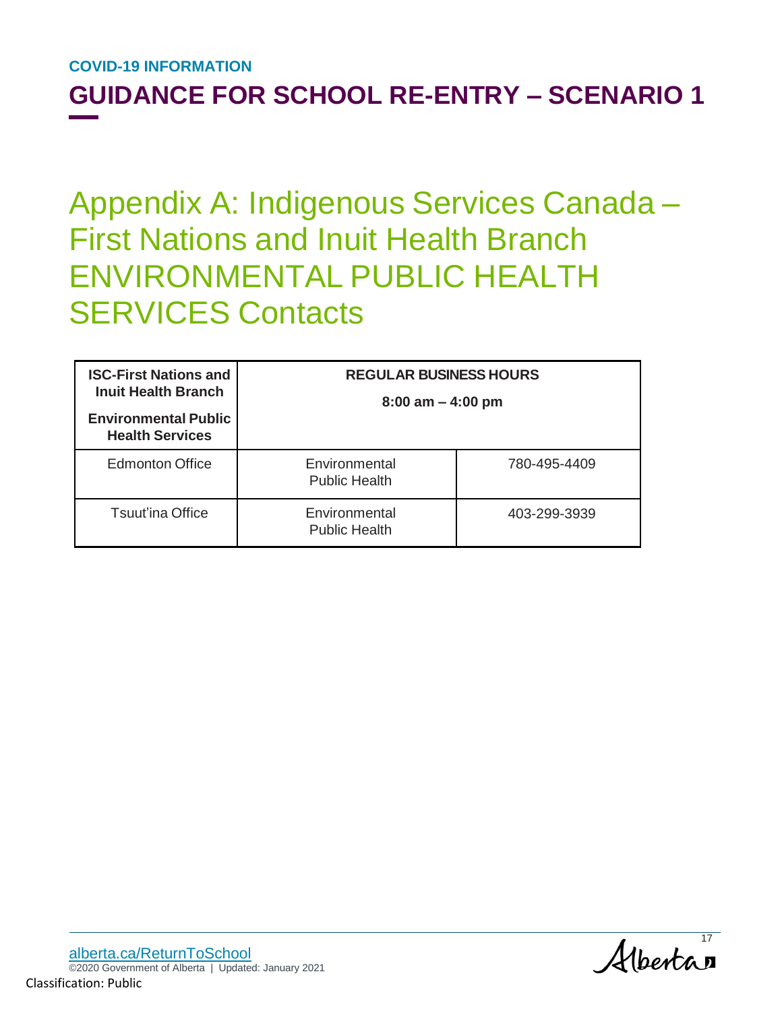### **GUIDANCE FOR SCHOOL RE-ENTRY – SCENARIO 1**

## Appendix A: Indigenous Services Canada – First Nations and Inuit Health Branch ENVIRONMENTAL PUBLIC HEALTH SERVICES Contacts

| <b>ISC-First Nations and</b><br><b>Inuit Health Branch</b><br><b>Environmental Public</b><br><b>Health Services</b> | <b>REGULAR BUSINESS HOURS</b><br>$8:00$ am $-4:00$ pm |              |
|---------------------------------------------------------------------------------------------------------------------|-------------------------------------------------------|--------------|
| <b>Edmonton Office</b>                                                                                              | Environmental<br><b>Public Health</b>                 | 780-495-4409 |
| <b>Tsuut'ina Office</b>                                                                                             | Environmental<br><b>Public Health</b>                 | 403-299-3939 |

Alberta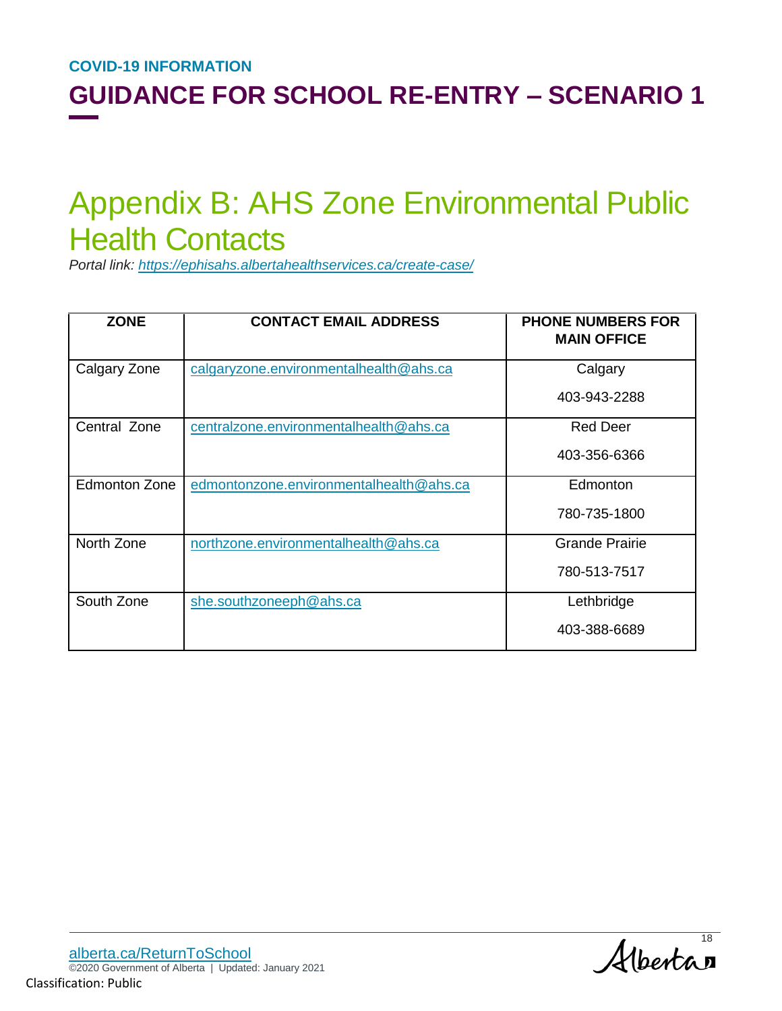## Appendix B: AHS Zone Environmental Public Health Contacts

*Portal link: https://ephisahs.albertahealthservices.ca/create-case/*

| <b>ZONE</b>          | <b>CONTACT EMAIL ADDRESS</b>            | <b>PHONE NUMBERS FOR</b><br><b>MAIN OFFICE</b> |
|----------------------|-----------------------------------------|------------------------------------------------|
| Calgary Zone         | calgaryzone.environmentalhealth@ahs.ca  | Calgary                                        |
|                      |                                         | 403-943-2288                                   |
| Central Zone         | centralzone.environmentalhealth@ahs.ca  | <b>Red Deer</b>                                |
|                      |                                         | 403-356-6366                                   |
| <b>Edmonton Zone</b> | edmontonzone.environmentalhealth@ahs.ca | Edmonton                                       |
|                      |                                         | 780-735-1800                                   |
| North Zone           | northzone.environmentalhealth@ahs.ca    | <b>Grande Prairie</b>                          |
|                      |                                         | 780-513-7517                                   |
| South Zone           | she.southzoneeph@ahs.ca                 | Lethbridge                                     |
|                      |                                         | 403-388-6689                                   |

Albertan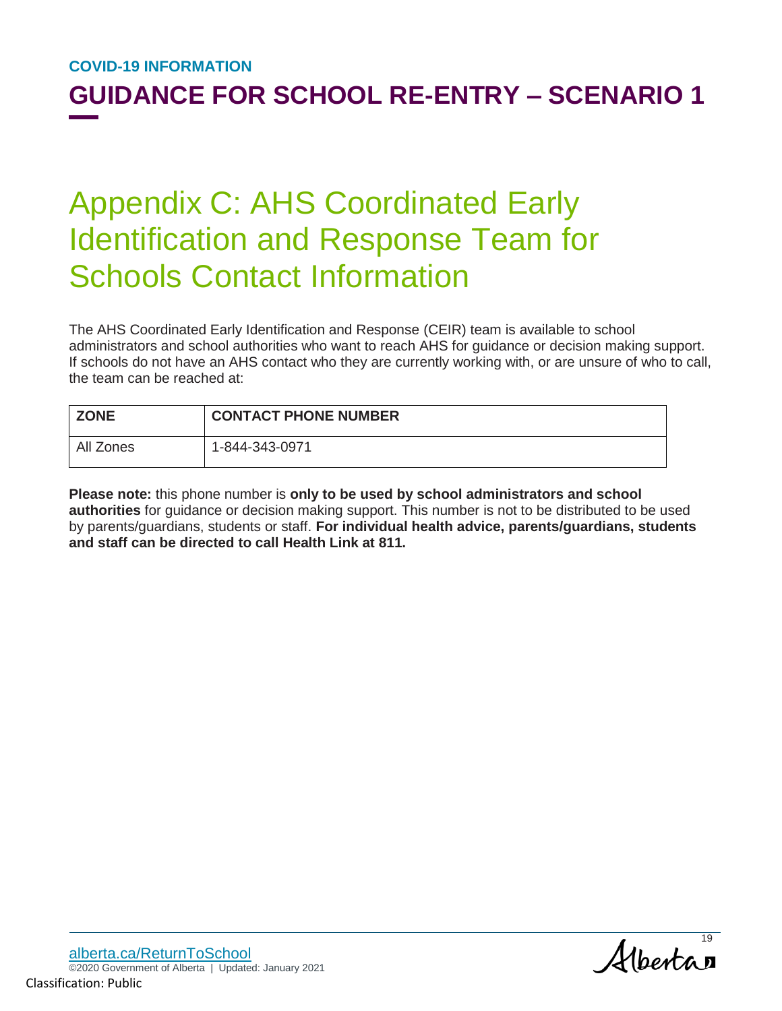## Appendix C: AHS Coordinated Early Identification and Response Team for Schools Contact Information

The AHS Coordinated Early Identification and Response (CEIR) team is available to school administrators and school authorities who want to reach AHS for guidance or decision making support. If schools do not have an AHS contact who they are currently working with, or are unsure of who to call, the team can be reached at:

| <b>ZONE</b> | <b>CONTACT PHONE NUMBER</b> |
|-------------|-----------------------------|
| All Zones   | 1-844-343-0971              |

**Please note:** this phone number is **only to be used by school administrators and school authorities** for guidance or decision making support. This number is not to be distributed to be used by parents/guardians, students or staff. **For individual health advice, parents/guardians, students and staff can be directed to call Health Link at 811.**

Alberta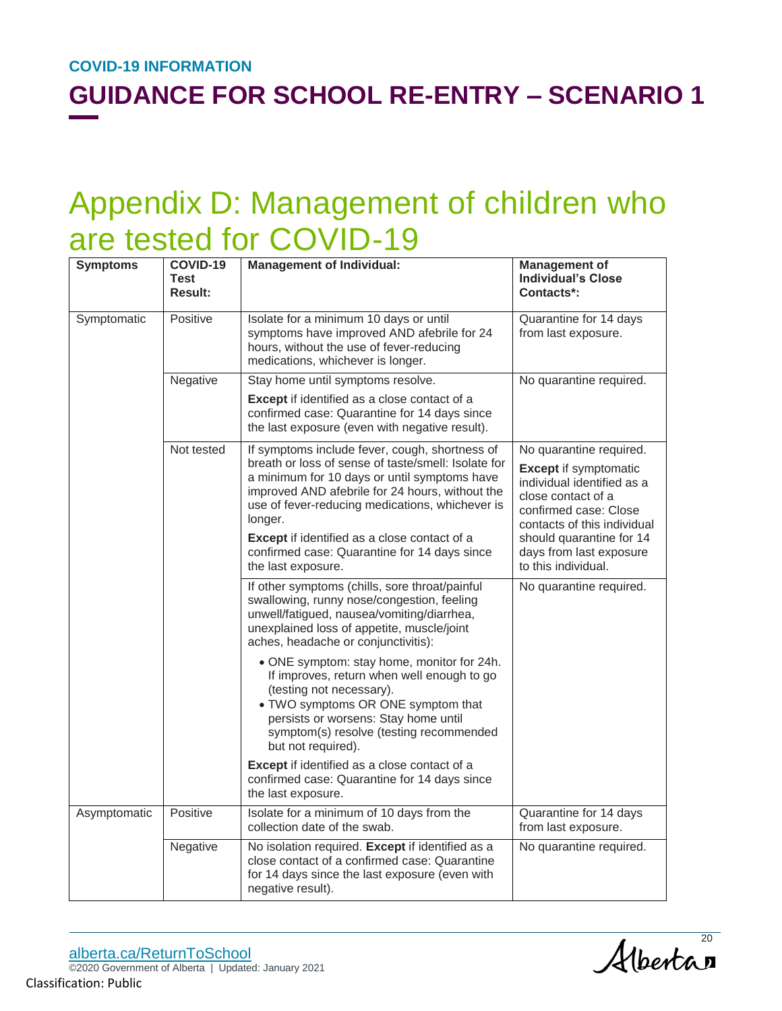## Appendix D: Management of children who are tested for COVID-19

| <b>Symptoms</b> | COVID-19<br>Test<br><b>Result:</b> | <b>Management of Individual:</b>                                                                                                                                                                                                                                                                                                                                       | <b>Management of</b><br><b>Individual's Close</b><br>Contacts*:                                                                                                                                                            |
|-----------------|------------------------------------|------------------------------------------------------------------------------------------------------------------------------------------------------------------------------------------------------------------------------------------------------------------------------------------------------------------------------------------------------------------------|----------------------------------------------------------------------------------------------------------------------------------------------------------------------------------------------------------------------------|
| Symptomatic     | Positive                           | Isolate for a minimum 10 days or until<br>symptoms have improved AND afebrile for 24<br>hours, without the use of fever-reducing<br>medications, whichever is longer.                                                                                                                                                                                                  | Quarantine for 14 days<br>from last exposure.                                                                                                                                                                              |
|                 | Negative                           | Stay home until symptoms resolve.                                                                                                                                                                                                                                                                                                                                      | No quarantine required.                                                                                                                                                                                                    |
|                 |                                    | <b>Except</b> if identified as a close contact of a<br>confirmed case: Quarantine for 14 days since<br>the last exposure (even with negative result).                                                                                                                                                                                                                  |                                                                                                                                                                                                                            |
|                 | Not tested                         | If symptoms include fever, cough, shortness of<br>breath or loss of sense of taste/smell: Isolate for<br>a minimum for 10 days or until symptoms have<br>improved AND afebrile for 24 hours, without the<br>use of fever-reducing medications, whichever is<br>longer.<br>Except if identified as a close contact of a<br>confirmed case: Quarantine for 14 days since | No quarantine required.<br><b>Except</b> if symptomatic<br>individual identified as a<br>close contact of a<br>confirmed case: Close<br>contacts of this individual<br>should quarantine for 14<br>days from last exposure |
|                 |                                    | the last exposure.                                                                                                                                                                                                                                                                                                                                                     | to this individual.                                                                                                                                                                                                        |
|                 |                                    | If other symptoms (chills, sore throat/painful<br>swallowing, runny nose/congestion, feeling<br>unwell/fatigued, nausea/vomiting/diarrhea,<br>unexplained loss of appetite, muscle/joint<br>aches, headache or conjunctivitis):                                                                                                                                        | No quarantine required.                                                                                                                                                                                                    |
|                 |                                    | • ONE symptom: stay home, monitor for 24h.<br>If improves, return when well enough to go<br>(testing not necessary).<br>. TWO symptoms OR ONE symptom that<br>persists or worsens: Stay home until<br>symptom(s) resolve (testing recommended<br>but not required).                                                                                                    |                                                                                                                                                                                                                            |
|                 |                                    | Except if identified as a close contact of a<br>confirmed case: Quarantine for 14 days since<br>the last exposure.                                                                                                                                                                                                                                                     |                                                                                                                                                                                                                            |
| Asymptomatic    | Positive                           | Isolate for a minimum of 10 days from the<br>collection date of the swab.                                                                                                                                                                                                                                                                                              | Quarantine for 14 days<br>from last exposure.                                                                                                                                                                              |
|                 | Negative                           | No isolation required. Except if identified as a<br>close contact of a confirmed case: Quarantine<br>for 14 days since the last exposure (even with<br>negative result).                                                                                                                                                                                               | No quarantine required.                                                                                                                                                                                                    |